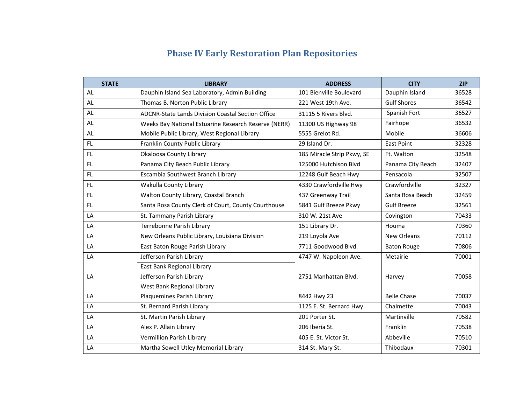## **Phase IV Early Restoration Plan Repositories**

| <b>STATE</b> | <b>LIBRARY</b>                                       | <b>ADDRESS</b>             | <b>CITY</b>        | <b>ZIP</b> |
|--------------|------------------------------------------------------|----------------------------|--------------------|------------|
| <b>AL</b>    | Dauphin Island Sea Laboratory, Admin Building        | 101 Bienville Boulevard    | Dauphin Island     | 36528      |
| AL           | Thomas B. Norton Public Library                      | 221 West 19th Ave.         | <b>Gulf Shores</b> | 36542      |
| <b>AL</b>    | ADCNR-State Lands Division Coastal Section Office    | 31115 5 Rivers Blvd.       | Spanish Fort       | 36527      |
| AL           | Weeks Bay National Estuarine Research Reserve (NERR) | 11300 US Highway 98        | Fairhope           | 36532      |
| <b>AL</b>    | Mobile Public Library, West Regional Library         | 5555 Grelot Rd.            | Mobile             | 36606      |
| FL.          | Franklin County Public Library                       | 29 Island Dr.              | <b>East Point</b>  | 32328      |
| FL.          | Okaloosa County Library                              | 185 Miracle Strip Pkwy, SE | Ft. Walton         | 32548      |
| FL.          | Panama City Beach Public Library                     | 125000 Hutchison Blvd      | Panama City Beach  | 32407      |
| FL.          | Escambia Southwest Branch Library                    | 12248 Gulf Beach Hwy       | Pensacola          | 32507      |
| FL.          | Wakulla County Library                               | 4330 Crawfordville Hwy     | Crawfordville      | 32327      |
| FL.          | Walton County Library, Coastal Branch                | 437 Greenway Trail         | Santa Rosa Beach   | 32459      |
| FL.          | Santa Rosa County Clerk of Court, County Courthouse  | 5841 Gulf Breeze Pkwy      | <b>Gulf Breeze</b> | 32561      |
| LA           | St. Tammany Parish Library                           | 310 W. 21st Ave            | Covington          | 70433      |
| LA           | Terrebonne Parish Library                            | 151 Library Dr.            | Houma              | 70360      |
| LA           | New Orleans Public Library, Louisiana Division       | 219 Loyola Ave             | <b>New Orleans</b> | 70112      |
| LA           | East Baton Rouge Parish Library                      | 7711 Goodwood Blvd.        | <b>Baton Rouge</b> | 70806      |
| LA           | Jefferson Parish Library                             | 4747 W. Napoleon Ave.      | Metairie           | 70001      |
|              | East Bank Regional Library                           |                            |                    |            |
| LA           | Jefferson Parish Library                             | 2751 Manhattan Blvd.       | Harvey             | 70058      |
|              | West Bank Regional Library                           |                            |                    |            |
| LA           | Plaquemines Parish Library                           | 8442 Hwy 23                | <b>Belle Chase</b> | 70037      |
| LA           | St. Bernard Parish Library                           | 1125 E. St. Bernard Hwy    | Chalmette          | 70043      |
| LA           | St. Martin Parish Library                            | 201 Porter St.             | Martinville        | 70582      |
| LA           | Alex P. Allain Library                               | 206 Iberia St.             | Franklin           | 70538      |
| LA           | Vermillion Parish Library                            | 405 E. St. Victor St.      | Abbeville          | 70510      |
| LA           | Martha Sowell Utley Memorial Library                 | 314 St. Mary St.           | Thibodaux          | 70301      |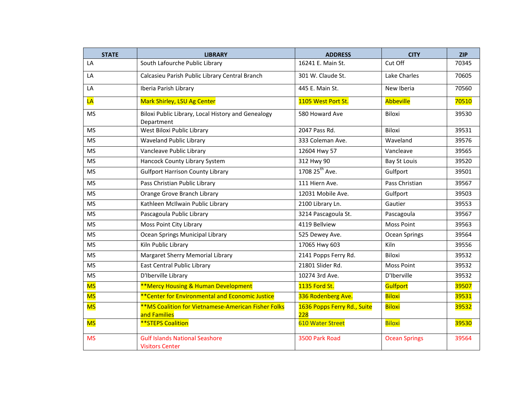| <b>STATE</b> | <b>LIBRARY</b>                                                             | <b>ADDRESS</b>                     | <b>CITY</b>          | <b>ZIP</b> |
|--------------|----------------------------------------------------------------------------|------------------------------------|----------------------|------------|
| LA           | South Lafourche Public Library                                             | 16241 E. Main St.                  | Cut Off              | 70345      |
| LA           | Calcasieu Parish Public Library Central Branch                             | 301 W. Claude St.                  | Lake Charles         | 70605      |
| LA           | Iberia Parish Library                                                      | 445 E. Main St.                    | New Iberia           | 70560      |
| LA           | Mark Shirley, LSU Ag Center                                                | 1105 West Port St.                 | Abbeville            | 70510      |
| <b>MS</b>    | Biloxi Public Library, Local History and Genealogy<br>Department           | 580 Howard Ave                     | Biloxi               | 39530      |
| <b>MS</b>    | West Biloxi Public Library                                                 | 2047 Pass Rd.                      | Biloxi               | 39531      |
| <b>MS</b>    | <b>Waveland Public Library</b>                                             | 333 Coleman Ave.                   | Waveland             | 39576      |
| <b>MS</b>    | Vancleave Public Library                                                   | 12604 Hwy 57                       | Vancleave            | 39565      |
| <b>MS</b>    | Hancock County Library System                                              | 312 Hwy 90                         | <b>Bay St Louis</b>  | 39520      |
| <b>MS</b>    | <b>Gulfport Harrison County Library</b>                                    | 1708 25 <sup>th</sup> Ave.         | Gulfport             | 39501      |
| <b>MS</b>    | Pass Christian Public Library                                              | 111 Hiern Ave.                     | Pass Christian       | 39567      |
| <b>MS</b>    | Orange Grove Branch Library                                                | 12031 Mobile Ave.                  | Gulfport             | 39503      |
| <b>MS</b>    | Kathleen McIlwain Public Library                                           | 2100 Library Ln.                   | Gautier              | 39553      |
| <b>MS</b>    | Pascagoula Public Library                                                  | 3214 Pascagoula St.                | Pascagoula           | 39567      |
| <b>MS</b>    | Moss Point City Library                                                    | 4119 Bellview                      | <b>Moss Point</b>    | 39563      |
| <b>MS</b>    | Ocean Springs Municipal Library                                            | 525 Dewey Ave.                     | Ocean Springs        | 39564      |
| <b>MS</b>    | Kiln Public Library                                                        | 17065 Hwy 603                      | Kiln                 | 39556      |
| <b>MS</b>    | Margaret Sherry Memorial Library                                           | 2141 Popps Ferry Rd.               | Biloxi               | 39532      |
| <b>MS</b>    | East Central Public Library                                                | 21801 Slider Rd.                   | <b>Moss Point</b>    | 39532      |
| <b>MS</b>    | D'Iberville Library                                                        | 10274 3rd Ave.                     | D'Iberville          | 39532      |
| <b>MS</b>    | <b>**Mercy Housing &amp; Human Development</b>                             | 1135 Ford St.                      | Gulfport             | 39507      |
| <b>MS</b>    | ** Center for Environmental and Economic Justice                           | 336 Rodenberg Ave.                 | Biloxi               | 39531      |
| <b>MS</b>    | <b>**MS Coalition for Vietnamese-American Fisher Folks</b><br>and Families | 1636 Popps Ferry Rd., Suite<br>228 | Biloxi               | 39532      |
| <b>MS</b>    | <b>**STEPS Coalition</b>                                                   | <b>610 Water Street</b>            | <b>Biloxi</b>        | 39530      |
| <b>MS</b>    | <b>Gulf Islands National Seashore</b><br><b>Visitors Center</b>            | 3500 Park Road                     | <b>Ocean Springs</b> | 39564      |